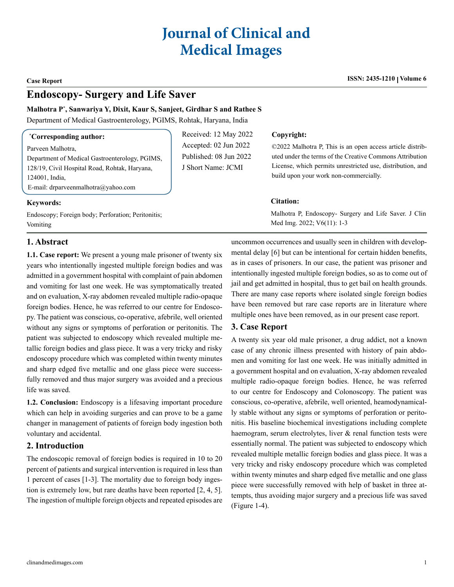# **Journal of Clinical and Medical Images**

**Case Report ISSN: 2435-1210 Volume 6**

## **Endoscopy- Surgery and Life Saver**

#### **Malhotra P\* , Sanwariya Y, Dixit, Kaur S, Sanjeet, Girdhar S and Rathee S**

Department of Medical Gastroenterology, PGIMS, Rohtak, Haryana, India

| <i>Corresponding author:</i>                                                                                                                                                  | Received: 12 May 2022                                                 | Copyright:                                                                                                                                                                                                                    |
|-------------------------------------------------------------------------------------------------------------------------------------------------------------------------------|-----------------------------------------------------------------------|-------------------------------------------------------------------------------------------------------------------------------------------------------------------------------------------------------------------------------|
| Parveen Malhotra,<br>Department of Medical Gastroenterology, PGIMS,<br>128/19, Civil Hospital Road, Rohtak, Haryana,<br>124001, India.<br>E-mail: drparveenmalhotra@yahoo.com | Accepted: 02 Jun 2022<br>Published: 08 Jun 2022<br>J Short Name: JCMI | ©2022 Malhotra P, This is an open access article distrib-<br>uted under the terms of the Creative Commons Attribution<br>License, which permits unrestricted use, distribution, and<br>build upon your work non-commercially. |
| <b>Keywords:</b>                                                                                                                                                              |                                                                       | <b>Citation:</b>                                                                                                                                                                                                              |
| Endoscopy; Foreign body; Perforation; Peritonitis;<br>Vomiting                                                                                                                |                                                                       | Malhotra P, Endoscopy- Surgery and Life Saver. J Clin<br>Med Img. $2022$ ; $V6(11)$ : 1-3                                                                                                                                     |

### **1. Abstract**

**1.1. Case report:** We present a young male prisoner of twenty six years who intentionally ingested multiple foreign bodies and was admitted in a government hospital with complaint of pain abdomen and vomiting for last one week. He was symptomatically treated and on evaluation, X-ray abdomen revealed multiple radio-opaque foreign bodies. Hence, he was referred to our centre for Endoscopy. The patient was conscious, co-operative, afebrile, well oriented without any signs or symptoms of perforation or peritonitis. The patient was subjected to endoscopy which revealed multiple metallic foreign bodies and glass piece. It was a very tricky and risky endoscopy procedure which was completed within twenty minutes and sharp edged five metallic and one glass piece were successfully removed and thus major surgery was avoided and a precious life was saved.

**1.2. Conclusion:** Endoscopy is a lifesaving important procedure which can help in avoiding surgeries and can prove to be a game changer in management of patients of foreign body ingestion both voluntary and accidental.

#### **2. Introduction**

The endoscopic removal of foreign bodies is required in 10 to 20 percent of patients and surgical intervention is required in less than 1 percent of cases [1-3]. The mortality due to foreign body ingestion is extremely low, but rare deaths have been reported [2, 4, 5]. The ingestion of multiple foreign objects and repeated episodes are

uncommon occurrences and usually seen in children with developmental delay [6] but can be intentional for certain hidden benefits, as in cases of prisoners. In our case, the patient was prisoner and intentionally ingested multiple foreign bodies, so as to come out of jail and get admitted in hospital, thus to get bail on health grounds. There are many case reports where isolated single foreign bodies have been removed but rare case reports are in literature where multiple ones have been removed, as in our present case report.

### **3. Case Report**

A twenty six year old male prisoner, a drug addict, not a known case of any chronic illness presented with history of pain abdomen and vomiting for last one week. He was initially admitted in a government hospital and on evaluation, X-ray abdomen revealed multiple radio-opaque foreign bodies. Hence, he was referred to our centre for Endoscopy and Colonoscopy. The patient was conscious, co-operative, afebrile, well oriented, heamodynamically stable without any signs or symptoms of perforation or peritonitis. His baseline biochemical investigations including complete haemogram, serum electrolytes, liver & renal function tests were essentially normal. The patient was subjected to endoscopy which revealed multiple metallic foreign bodies and glass piece. It was a very tricky and risky endoscopy procedure which was completed within twenty minutes and sharp edged five metallic and one glass piece were successfully removed with help of basket in three attempts, thus avoiding major surgery and a precious life was saved (Figure 1-4).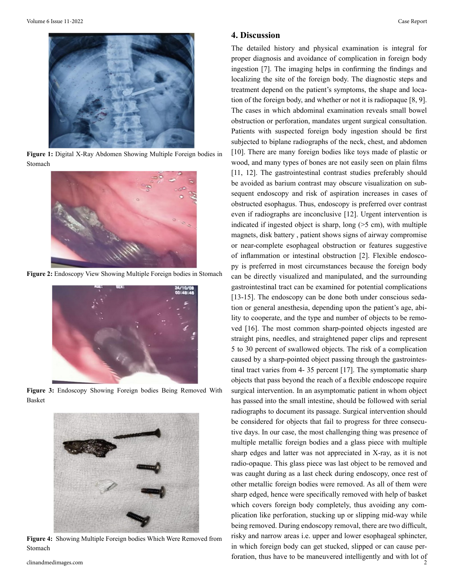

**Figure 1:** Digital X-Ray Abdomen Showing Multiple Foreign bodies in Stomach



**Figure 2:** Endoscopy View Showing Multiple Foreign bodies in Stomach



**Figure 3:** Endoscopy Showing Foreign bodies Being Removed With Basket



**Figure 4:** Showing Multiple Foreign bodies Which Were Removed from Stomach

#### **4. Discussion**

The detailed history and physical examination is integral for proper diagnosis and avoidance of complication in foreign body ingestion [7]. The imaging helps in confirming the findings and localizing the site of the foreign body. The diagnostic steps and treatment depend on the patient's symptoms, the shape and location of the foreign body, and whether or not it is radiopaque [8, 9]. The cases in which abdominal examination reveals small bowel obstruction or perforation, mandates urgent surgical consultation. Patients with suspected foreign body ingestion should be first subjected to biplane radiographs of the neck, chest, and abdomen [10]. There are many foreign bodies like toys made of plastic or wood, and many types of bones are not easily seen on plain films [11, 12]. The gastrointestinal contrast studies preferably should be avoided as barium contrast may obscure visualization on subsequent endoscopy and risk of aspiration increases in cases of obstructed esophagus. Thus, endoscopy is preferred over contrast even if radiographs are inconclusive [12]. Urgent intervention is indicated if ingested object is sharp, long (>5 cm), with multiple magnets, disk battery , patient shows signs of airway compromise or near-complete esophageal obstruction or features suggestive of inflammation or intestinal obstruction [2]. Flexible endoscopy is preferred in most circumstances because the foreign body can be directly visualized and manipulated, and the surrounding gastrointestinal tract can be examined for potential complications [13-15]. The endoscopy can be done both under conscious sedation or general anesthesia, depending upon the patient's age, ability to cooperate, and the type and number of objects to be removed [16]. The most common sharp-pointed objects ingested are straight pins, needles, and straightened paper clips and represent 5 to 30 percent of swallowed objects. The risk of a complication caused by a sharp-pointed object passing through the gastrointestinal tract varies from 4- 35 percent [17]. The symptomatic sharp objects that pass beyond the reach of a flexible endoscope require surgical intervention. In an asymptomatic patient in whom object has passed into the small intestine, should be followed with serial radiographs to document its passage. Surgical intervention should be considered for objects that fail to progress for three consecutive days. In our case, the most challenging thing was presence of multiple metallic foreign bodies and a glass piece with multiple sharp edges and latter was not appreciated in X-ray, as it is not radio-opaque. This glass piece was last object to be removed and was caught during as a last check during endoscopy, once rest of other metallic foreign bodies were removed. As all of them were sharp edged, hence were specifically removed with help of basket which covers foreign body completely, thus avoiding any complication like perforation, stucking up or slipping mid-way while being removed. During endoscopy removal, there are two difficult, risky and narrow areas i.e. upper and lower esophageal sphincter, in which foreign body can get stucked, slipped or can cause perforation, thus have to be maneuvered intelligently and with lot of